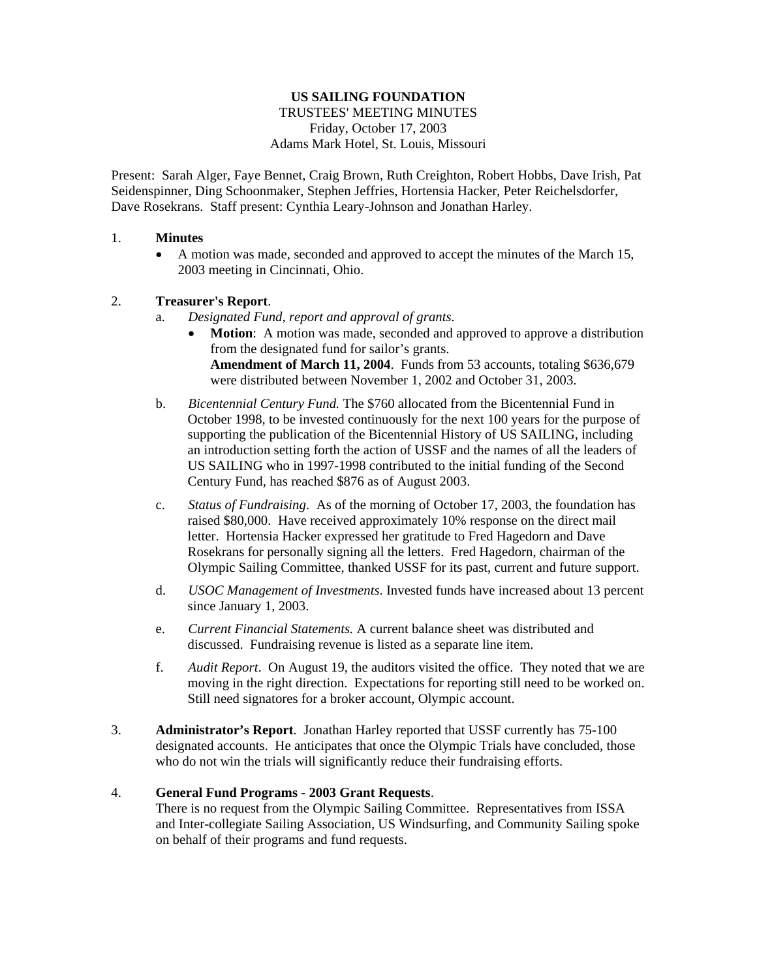# **US SAILING FOUNDATION**  TRUSTEES' MEETING MINUTES Friday, October 17, 2003 Adams Mark Hotel, St. Louis, Missouri

Present: Sarah Alger, Faye Bennet, Craig Brown, Ruth Creighton, Robert Hobbs, Dave Irish, Pat Seidenspinner, Ding Schoonmaker, Stephen Jeffries, Hortensia Hacker, Peter Reichelsdorfer, Dave Rosekrans. Staff present: Cynthia Leary-Johnson and Jonathan Harley.

## 1. **Minutes**

• A motion was made, seconded and approved to accept the minutes of the March 15, 2003 meeting in Cincinnati, Ohio.

## 2. **Treasurer's Report**.

- a. *Designated Fund, report and approval of grants.*
	- **Motion:** A motion was made, seconded and approved to approve a distribution from the designated fund for sailor's grants. **Amendment of March 11, 2004**. Funds from 53 accounts, totaling \$636,679 were distributed between November 1, 2002 and October 31, 2003.
- b. *Bicentennial Century Fund.* The \$760 allocated from the Bicentennial Fund in October 1998, to be invested continuously for the next 100 years for the purpose of supporting the publication of the Bicentennial History of US SAILING, including an introduction setting forth the action of USSF and the names of all the leaders of US SAILING who in 1997-1998 contributed to the initial funding of the Second Century Fund, has reached \$876 as of August 2003.
- c. *Status of Fundraising*. As of the morning of October 17, 2003, the foundation has raised \$80,000. Have received approximately 10% response on the direct mail letter. Hortensia Hacker expressed her gratitude to Fred Hagedorn and Dave Rosekrans for personally signing all the letters. Fred Hagedorn, chairman of the Olympic Sailing Committee, thanked USSF for its past, current and future support.
- d. *USOC Management of Investments*. Invested funds have increased about 13 percent since January 1, 2003.
- e. *Current Financial Statements.* A current balance sheet was distributed and discussed. Fundraising revenue is listed as a separate line item.
- f. *Audit Report*. On August 19, the auditors visited the office. They noted that we are moving in the right direction. Expectations for reporting still need to be worked on. Still need signatores for a broker account, Olympic account.
- 3. **Administrator's Report**. Jonathan Harley reported that USSF currently has 75-100 designated accounts. He anticipates that once the Olympic Trials have concluded, those who do not win the trials will significantly reduce their fundraising efforts.

## 4. **General Fund Programs - 2003 Grant Requests**.

There is no request from the Olympic Sailing Committee. Representatives from ISSA and Inter-collegiate Sailing Association, US Windsurfing, and Community Sailing spoke on behalf of their programs and fund requests.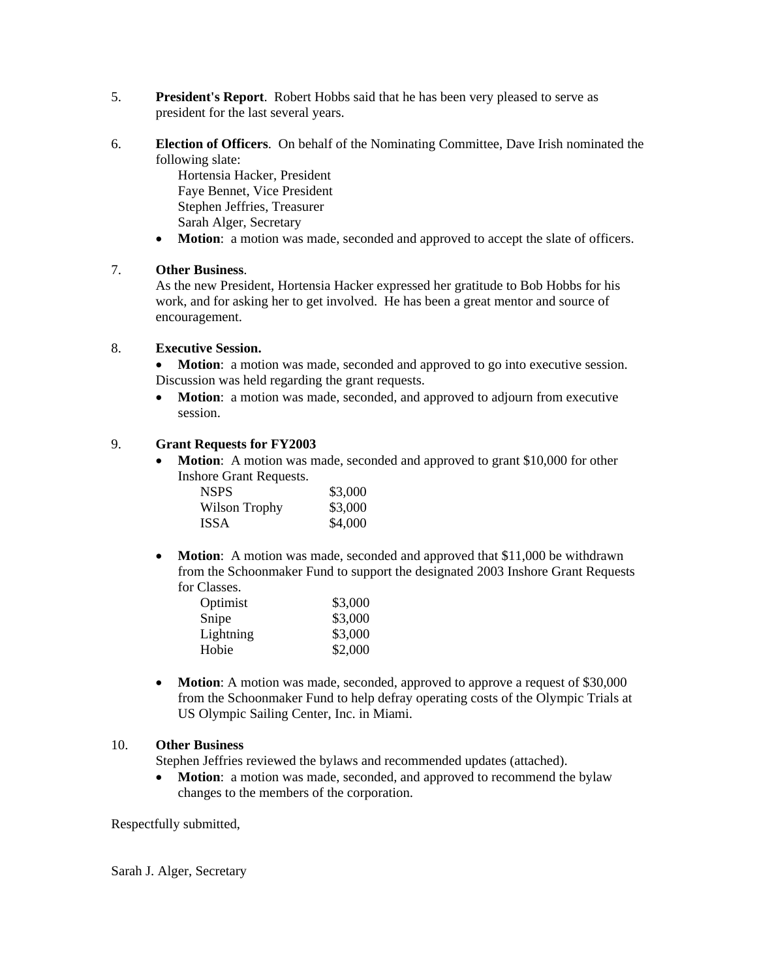- 5. **President's Report**. Robert Hobbs said that he has been very pleased to serve as president for the last several years.
- 6. **Election of Officers**. On behalf of the Nominating Committee, Dave Irish nominated the following slate:

Hortensia Hacker, President Faye Bennet, Vice President Stephen Jeffries, Treasurer Sarah Alger, Secretary

• **Motion**: a motion was made, seconded and approved to accept the slate of officers.

## 7. **Other Business**.

As the new President, Hortensia Hacker expressed her gratitude to Bob Hobbs for his work, and for asking her to get involved. He has been a great mentor and source of encouragement.

#### 8. **Executive Session.**

• **Motion**: a motion was made, seconded and approved to go into executive session. Discussion was held regarding the grant requests.

• **Motion**: a motion was made, seconded, and approved to adjourn from executive session.

# 9. **Grant Requests for FY2003**

• **Motion**: A motion was made, seconded and approved to grant \$10,000 for other Inshore Grant Requests.

| <b>NSPS</b>   | \$3,000 |
|---------------|---------|
| Wilson Trophy | \$3,000 |
| <b>ISSA</b>   | \$4,000 |

• **Motion**: A motion was made, seconded and approved that \$11,000 be withdrawn from the Schoonmaker Fund to support the designated 2003 Inshore Grant Requests for Classes.

| Optimist  | \$3,000 |
|-----------|---------|
| Snipe     | \$3,000 |
| Lightning | \$3,000 |
| Hobie     | \$2,000 |
|           |         |

• **Motion**: A motion was made, seconded, approved to approve a request of \$30,000 from the Schoonmaker Fund to help defray operating costs of the Olympic Trials at US Olympic Sailing Center, Inc. in Miami.

## 10. **Other Business**

Stephen Jeffries reviewed the bylaws and recommended updates (attached).

• **Motion**: a motion was made, seconded, and approved to recommend the bylaw changes to the members of the corporation.

Respectfully submitted,

Sarah J. Alger, Secretary